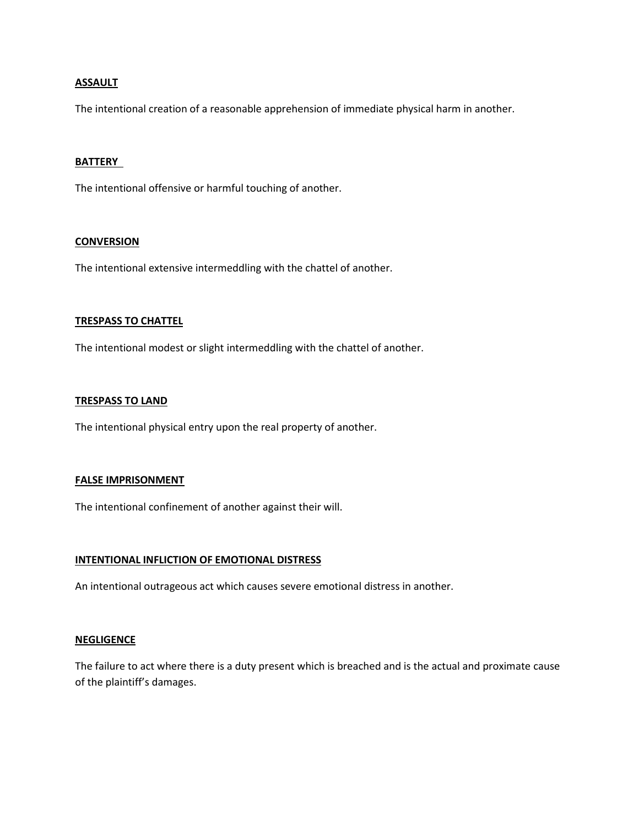### **ASSAULT**

The intentional creation of a reasonable apprehension of immediate physical harm in another.

#### **BATTERY**

The intentional offensive or harmful touching of another.

#### **CONVERSION**

The intentional extensive intermeddling with the chattel of another.

#### **TRESPASS TO CHATTEL**

The intentional modest or slight intermeddling with the chattel of another.

#### **TRESPASS TO LAND**

The intentional physical entry upon the real property of another.

#### **FALSE IMPRISONMENT**

The intentional confinement of another against their will.

#### **INTENTIONAL INFLICTION OF EMOTIONAL DISTRESS**

An intentional outrageous act which causes severe emotional distress in another.

#### **NEGLIGENCE**

The failure to act where there is a duty present which is breached and is the actual and proximate cause of the plaintiff's damages.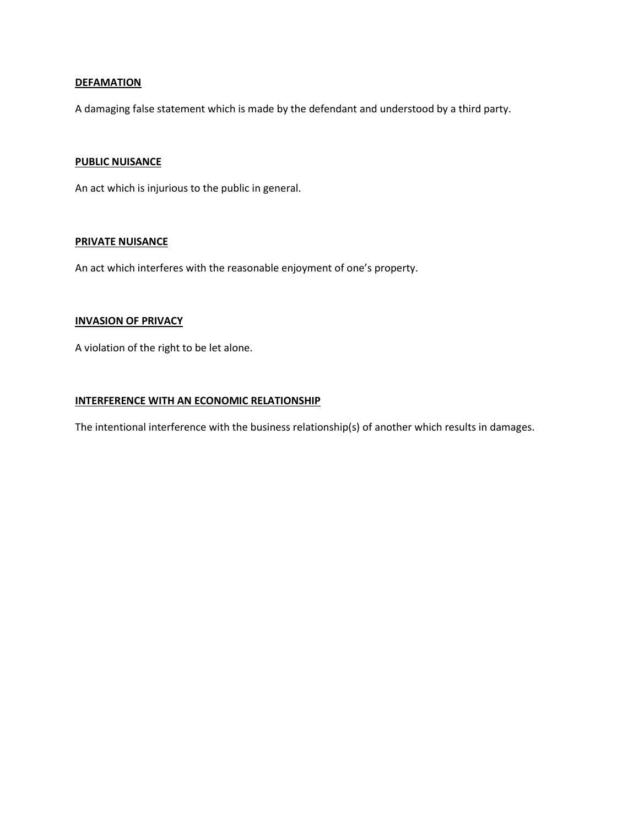### **DEFAMATION**

A damaging false statement which is made by the defendant and understood by a third party.

### **PUBLIC NUISANCE**

An act which is injurious to the public in general.

#### **PRIVATE NUISANCE**

An act which interferes with the reasonable enjoyment of one's property.

### **INVASION OF PRIVACY**

A violation of the right to be let alone.

### **INTERFERENCE WITH AN ECONOMIC RELATIONSHIP**

The intentional interference with the business relationship(s) of another which results in damages.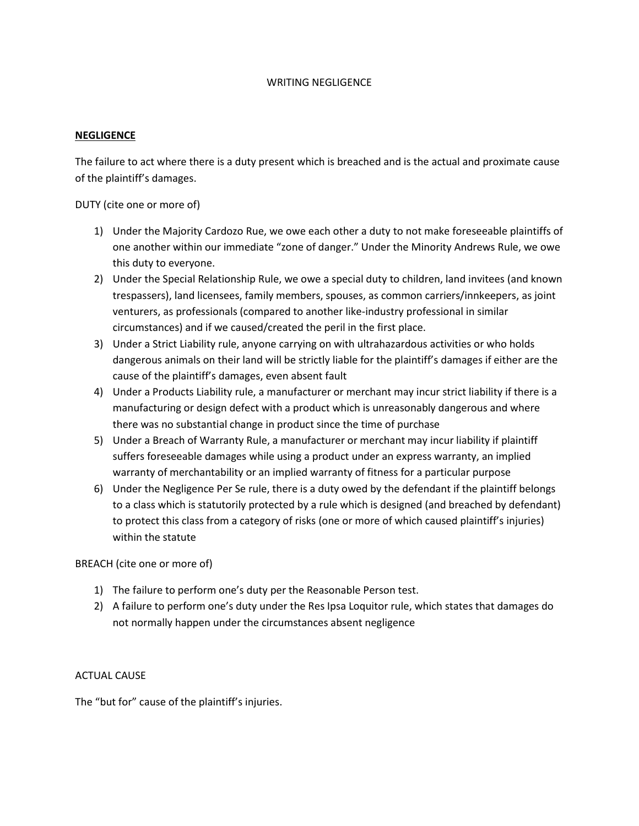### WRITING NEGLIGENCE

### **NEGLIGENCE**

The failure to act where there is a duty present which is breached and is the actual and proximate cause of the plaintiff's damages.

DUTY (cite one or more of)

- 1) Under the Majority Cardozo Rue, we owe each other a duty to not make foreseeable plaintiffs of one another within our immediate "zone of danger." Under the Minority Andrews Rule, we owe this duty to everyone.
- 2) Under the Special Relationship Rule, we owe a special duty to children, land invitees (and known trespassers), land licensees, family members, spouses, as common carriers/innkeepers, as joint venturers, as professionals (compared to another like-industry professional in similar circumstances) and if we caused/created the peril in the first place.
- 3) Under a Strict Liability rule, anyone carrying on with ultrahazardous activities or who holds dangerous animals on their land will be strictly liable for the plaintiff's damages if either are the cause of the plaintiff's damages, even absent fault
- 4) Under a Products Liability rule, a manufacturer or merchant may incur strict liability if there is a manufacturing or design defect with a product which is unreasonably dangerous and where there was no substantial change in product since the time of purchase
- 5) Under a Breach of Warranty Rule, a manufacturer or merchant may incur liability if plaintiff suffers foreseeable damages while using a product under an express warranty, an implied warranty of merchantability or an implied warranty of fitness for a particular purpose
- 6) Under the Negligence Per Se rule, there is a duty owed by the defendant if the plaintiff belongs to a class which is statutorily protected by a rule which is designed (and breached by defendant) to protect this class from a category of risks (one or more of which caused plaintiff's injuries) within the statute

BREACH (cite one or more of)

- 1) The failure to perform one's duty per the Reasonable Person test.
- 2) A failure to perform one's duty under the Res Ipsa Loquitor rule, which states that damages do not normally happen under the circumstances absent negligence

## ACTUAL CAUSE

The "but for" cause of the plaintiff's injuries.